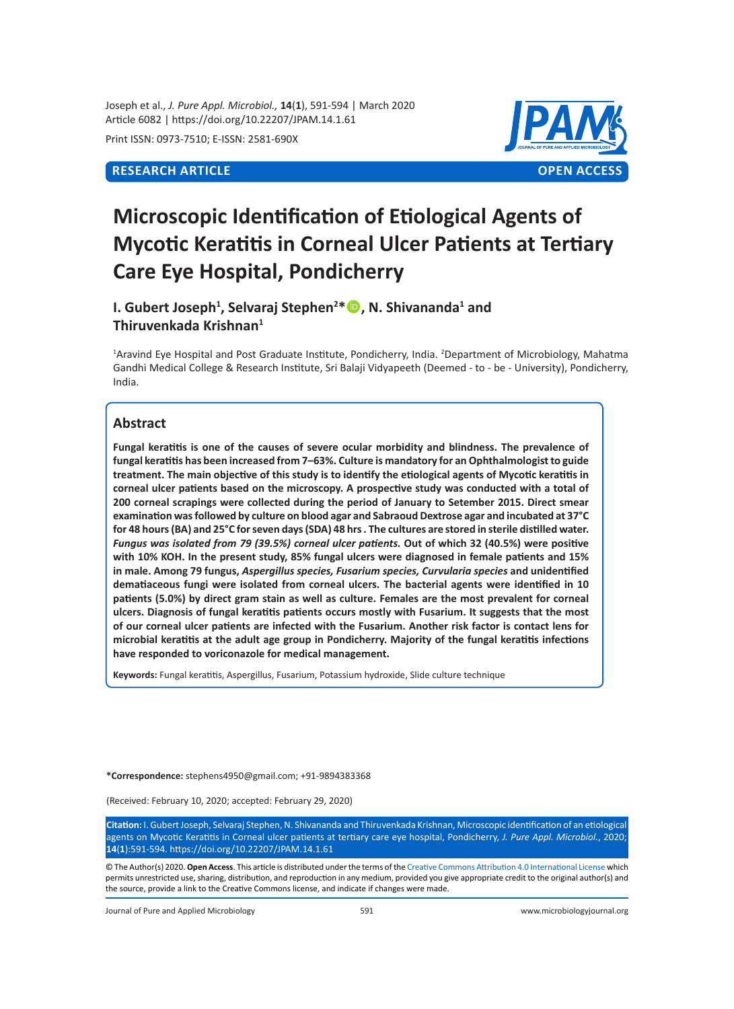Joseph et al., *J. Pure Appl. Microbiol.,* **14**(**1**), 591-594 | March 2020 Article 6082 | https://doi.org/10.22207/JPAM.14.1.61

Print ISSN: 0973-7510; E-ISSN: 2581-690X



# **Microscopic Identification of Etiological Agents of Mycotic Keratitis in Corneal Ulcer Patients at Tertiary Care Eye Hospital, Pondicherry**

**I. Gubert Joseph<sup>1</sup> , Selvaraj Stephen<sup>2</sup> \*, N. Shivananda<sup>1</sup> and Thiruvenkada Krishnan<sup>1</sup>**

<sup>1</sup>Aravind Eye Hospital and Post Graduate Institute, Pondicherry, India. <sup>2</sup>Department of Microbiology, Mahatma Gandhi Medical College & Research Institute, Sri Balaji Vidyapeeth (Deemed - to - be - University), Pondicherry, India.

# **Abstract**

**Fungal keratitis is one of the causes of severe ocular morbidity and blindness. The prevalence of fungal keratitis has been increased from 7–63%. Culture is mandatory for an Ophthalmologist to guide treatment. The main objective of this study is to identify the etiological agents of Mycotic keratitis in corneal ulcer patients based on the microscopy. A prospective study was conducted with a total of 200 corneal scrapings were collected during the period of January to Setember 2015. Direct smear examination was followed by culture on blood agar and Sabraoud Dextrose agar and incubated at 37°C for 48 hours (BA) and 25°C for seven days (SDA) 48 hrs . The cultures are stored in sterile distilled water.**  *Fungus was isolated from 79 (39.5%) corneal ulcer patients.* **Out of which 32 (40.5%) were positive with 10% KOH. In the present study, 85% fungal ulcers were diagnosed in female patients and 15% in male. Among 79 fungus,** *Aspergillus species, Fusarium species, Curvularia species* **and unidentified dematiaceous fungi were isolated from corneal ulcers. The bacterial agents were identified in 10 patients (5.0%) by direct gram stain as well as culture. Females are the most prevalent for corneal ulcers. Diagnosis of fungal keratitis patients occurs mostly with Fusarium. It suggests that the most of our corneal ulcer patients are infected with the Fusarium. Another risk factor is contact lens for microbial keratitis at the adult age group in Pondicherry. Majority of the fungal keratitis infections have responded to voriconazole for medical management.**

**Keywords:** Fungal keratitis, Aspergillus, Fusarium, Potassium hydroxide, Slide culture technique

**\*Correspondence:** [stephens4950@gmail.com](mailto:stephens4950@gmail.com); +91-9894383368

(Received: February 10, 2020; accepted: February 29, 2020)

**Citation:** I. Gubert Joseph, Selvaraj Stephen, N. Shivananda and Thiruvenkada Krishnan, Microscopic identification of an etiological agents on Mycotic Keratitis in Corneal ulcer patients at tertiary care eye hospital, Pondicherry, *J. Pure Appl. Microbiol.*, 2020; **14**(**1**):591-594. https://doi.org/10.22207/JPAM.14.1.61

© The Author(s) 2020. **Open Access**. This article is distributed under the terms of the [Creative Commons Attribution 4.0 International License](https://creativecommons.org/licenses/by/4.0/) which permits unrestricted use, sharing, distribution, and reproduction in any medium, provided you give appropriate credit to the original author(s) and the source, provide a link to the Creative Commons license, and indicate if changes were made.

Journal of Pure and Applied Microbiology 591 www.microbiologyjournal.org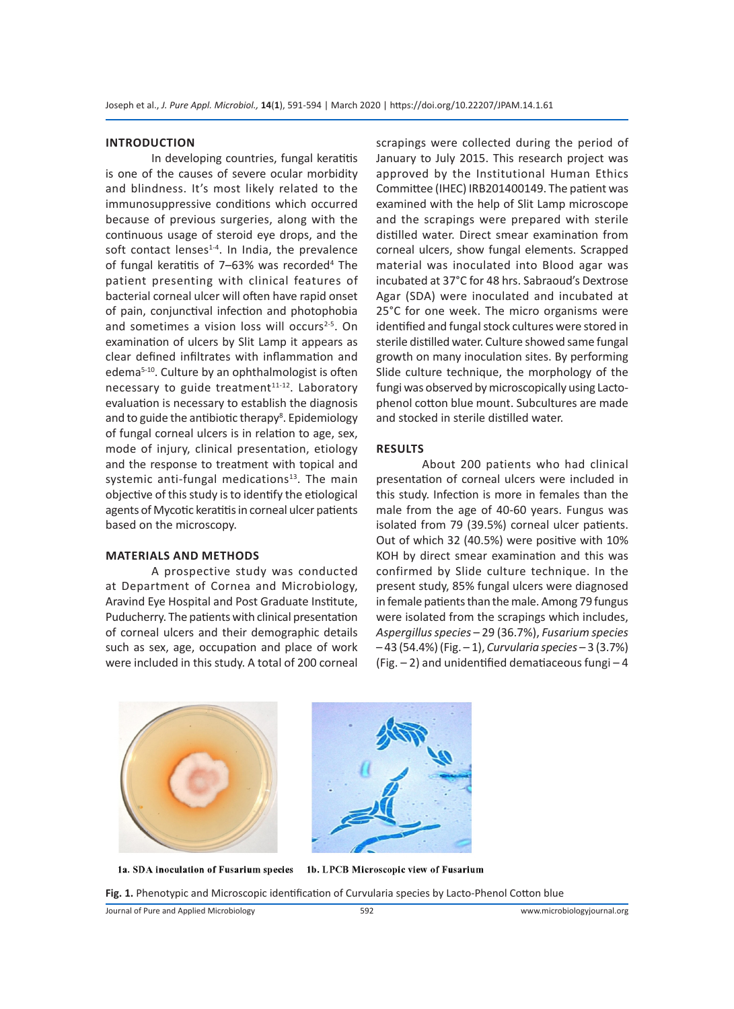#### **INTRODUCTION**

In developing countries, fungal keratitis is one of the causes of severe ocular morbidity and blindness. It's most likely related to the immunosuppressive conditions which occurred because of previous surgeries, along with the continuous usage of steroid eye drops, and the soft contact lenses $1-4$ . In India, the prevalence of fungal keratitis of 7-63% was recorded<sup>4</sup> The patient presenting with clinical features of bacterial corneal ulcer will often have rapid onset of pain, conjunctival infection and photophobia and sometimes a vision loss will occurs<sup>2-5</sup>. On examination of ulcers by Slit Lamp it appears as clear defined infiltrates with inflammation and edema5-10. Culture by an ophthalmologist is often necessary to guide treatment<sup>11-12</sup>. Laboratory evaluation is necessary to establish the diagnosis and to guide the antibiotic therapy<sup>8</sup>. Epidemiology of fungal corneal ulcers is in relation to age, sex, mode of injury, clinical presentation, etiology and the response to treatment with topical and systemic anti-fungal medications<sup>13</sup>. The main objective of this study is to identify the etiological agents of Mycotic keratitis in corneal ulcer patients based on the microscopy.

### **MATERIALS AND METHODS**

A prospective study was conducted at Department of Cornea and Microbiology, Aravind Eye Hospital and Post Graduate Institute, Puducherry. The patients with clinical presentation of corneal ulcers and their demographic details such as sex, age, occupation and place of work were included in this study. A total of 200 corneal scrapings were collected during the period of January to July 2015. This research project was approved by the Institutional Human Ethics Committee (IHEC) IRB201400149. The patient was examined with the help of Slit Lamp microscope and the scrapings were prepared with sterile distilled water. Direct smear examination from corneal ulcers, show fungal elements. Scrapped material was inoculated into Blood agar was incubated at 37°C for 48 hrs. Sabraoud's Dextrose Agar (SDA) were inoculated and incubated at 25°C for one week. The micro organisms were identified and fungal stock cultures were stored in sterile distilled water. Culture showed same fungal growth on many inoculation sites. By performing Slide culture technique, the morphology of the fungi was observed by microscopically using Lactophenol cotton blue mount. Subcultures are made and stocked in sterile distilled water.

# **RESULTS**

About 200 patients who had clinical presentation of corneal ulcers were included in this study. Infection is more in females than the male from the age of 40-60 years. Fungus was isolated from 79 (39.5%) corneal ulcer patients. Out of which 32 (40.5%) were positive with 10% KOH by direct smear examination and this was confirmed by Slide culture technique. In the present study, 85% fungal ulcers were diagnosed in female patients than the male. Among 79 fungus were isolated from the scrapings which includes, *Aspergillus species* – 29 (36.7%), *Fusarium species*  – 43 (54.4%) (Fig. – 1), *Curvularia species* – 3 (3.7%) (Fig.  $-2$ ) and unidentified dematiaceous fungi  $-4$ 





1a. SDA inoculation of Fusarium species 1b. LPCB Microscopic view of Fusarium

**Fig. 1.** Phenotypic and Microscopic identification of Curvularia species by Lacto-Phenol Cotton blue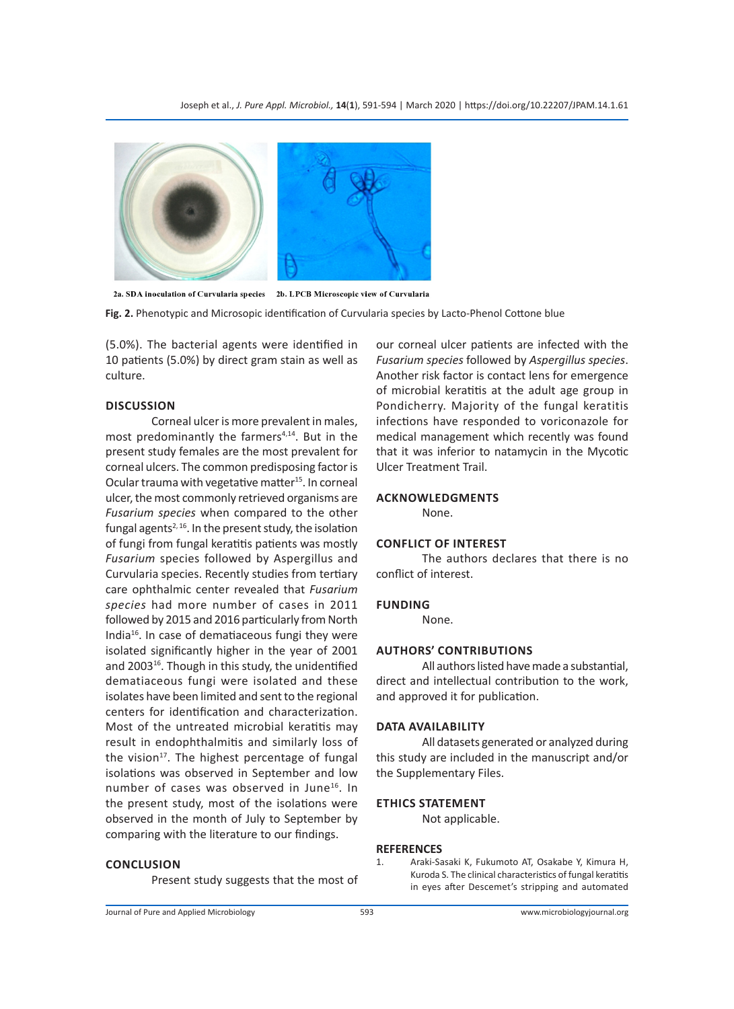

2a. SDA inoculation of Curvularia species 2b. LPCB Microscopic view of Curvularia

**Fig. 2.** Phenotypic and Microsopic identification of Curvularia species by Lacto-Phenol Cottone blue

(5.0%). The bacterial agents were identified in 10 patients (5.0%) by direct gram stain as well as culture.

# **DISCUSSION**

Corneal ulcer is more prevalent in males, most predominantly the farmers<sup>4,14</sup>. But in the present study females are the most prevalent for corneal ulcers. The common predisposing factor is Ocular trauma with vegetative matter<sup>15</sup>. In corneal ulcer, the most commonly retrieved organisms are *Fusarium species* when compared to the other fungal agents<sup> $2,16$ </sup>. In the present study, the isolation of fungi from fungal keratitis patients was mostly *Fusarium* species followed by Aspergillus and Curvularia species. Recently studies from tertiary care ophthalmic center revealed that *Fusarium species* had more number of cases in 2011 followed by 2015 and 2016 particularly from North India16. In case of dematiaceous fungi they were isolated significantly higher in the year of 2001 and 2003<sup>16</sup>. Though in this study, the unidentified dematiaceous fungi were isolated and these isolates have been limited and sent to the regional centers for identification and characterization. Most of the untreated microbial keratitis may result in endophthalmitis and similarly loss of the vision<sup>17</sup>. The highest percentage of fungal isolations was observed in September and low number of cases was observed in June<sup>16</sup>. In the present study, most of the isolations were observed in the month of July to September by comparing with the literature to our findings.

#### **CONCLUSION**

Present study suggests that the most of

our corneal ulcer patients are infected with the *Fusarium species* followed by *Aspergillus species*. Another risk factor is contact lens for emergence of microbial keratitis at the adult age group in Pondicherry. Majority of the fungal keratitis infections have responded to voriconazole for medical management which recently was found that it was inferior to natamycin in the Mycotic Ulcer Treatment Trail.

#### **ACKNOWLEDGMENTS**

None.

# **CONFLICT OF INTEREST**

The authors declares that there is no conflict of interest.

### **FUNDING**

None.

# **AUTHORS' CONTRIBUTIONS**

All authors listed have made a substantial, direct and intellectual contribution to the work, and approved it for publication.

#### **DATA AVAILABILITY**

All datasets generated or analyzed during this study are included in the manuscript and/or the Supplementary Files.

#### **ETHICS STATEMENT**

Not applicable.

#### **REFERENCES**

1. Araki-Sasaki K, Fukumoto AT, Osakabe Y, Kimura H, Kuroda S. The clinical characteristics of fungal keratitis in eyes after Descemet's stripping and automated